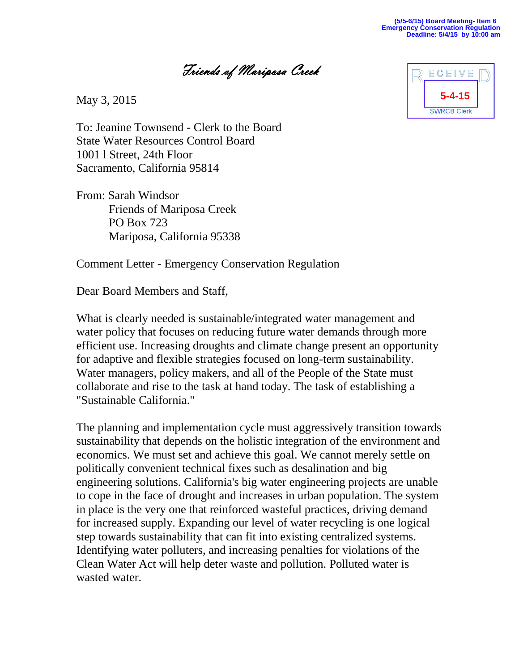Friends of Mariposa Creek

May 3, 2015



To: Jeanine Townsend - Clerk to the Board State Water Resources Control Board 1001 l Street, 24th Floor Sacramento, California 95814

From: Sarah Windsor Friends of Mariposa Creek PO Box 723 Mariposa, California 95338

Comment Letter - Emergency Conservation Regulation

Dear Board Members and Staff,

What is clearly needed is sustainable/integrated water management and water policy that focuses on reducing future water demands through more efficient use. Increasing droughts and climate change present an opportunity for adaptive and flexible strategies focused on long-term sustainability. Water managers, policy makers, and all of the People of the State must collaborate and rise to the task at hand today. The task of establishing a "Sustainable California."

The planning and implementation cycle must aggressively transition towards sustainability that depends on the holistic integration of the environment and economics. We must set and achieve this goal. We cannot merely settle on politically convenient technical fixes such as desalination and big engineering solutions. California's big water engineering projects are unable to cope in the face of drought and increases in urban population. The system in place is the very one that reinforced wasteful practices, driving demand for increased supply. Expanding our level of water recycling is one logical step towards sustainability that can fit into existing centralized systems. Identifying water polluters, and increasing penalties for violations of the Clean Water Act will help deter waste and pollution. Polluted water is wasted water.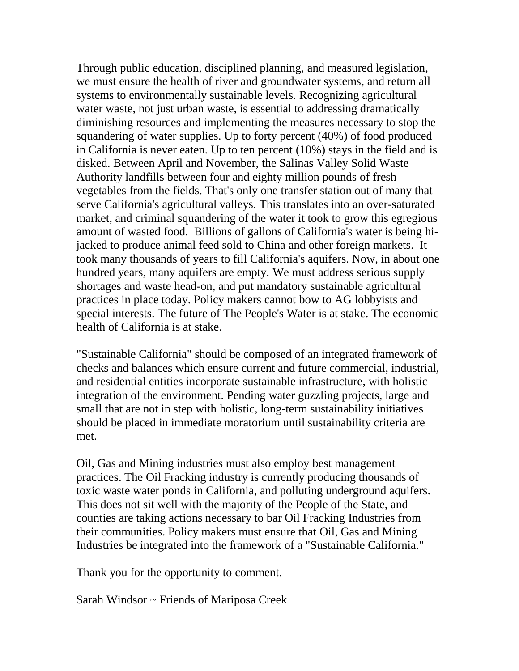Through public education, disciplined planning, and measured legislation, we must ensure the health of river and groundwater systems, and return all systems to environmentally sustainable levels. Recognizing agricultural water waste, not just urban waste, is essential to addressing dramatically diminishing resources and implementing the measures necessary to stop the squandering of water supplies. Up to forty percent (40%) of food produced in California is never eaten. Up to ten percent (10%) stays in the field and is disked. Between April and November, the Salinas Valley Solid Waste Authority landfills between four and eighty million pounds of fresh vegetables from the fields. That's only one transfer station out of many that serve California's agricultural valleys. This translates into an over-saturated market, and criminal squandering of the water it took to grow this egregious amount of wasted food. Billions of gallons of California's water is being hijacked to produce animal feed sold to China and other foreign markets. It took many thousands of years to fill California's aquifers. Now, in about one hundred years, many aquifers are empty. We must address serious supply shortages and waste head-on, and put mandatory sustainable agricultural practices in place today. Policy makers cannot bow to AG lobbyists and special interests. The future of The People's Water is at stake. The economic health of California is at stake.

"Sustainable California" should be composed of an integrated framework of checks and balances which ensure current and future commercial, industrial, and residential entities incorporate sustainable infrastructure, with holistic integration of the environment. Pending water guzzling projects, large and small that are not in step with holistic, long-term sustainability initiatives should be placed in immediate moratorium until sustainability criteria are met.

Oil, Gas and Mining industries must also employ best management practices. The Oil Fracking industry is currently producing thousands of toxic waste water ponds in California, and polluting underground aquifers. This does not sit well with the majority of the People of the State, and counties are taking actions necessary to bar Oil Fracking Industries from their communities. Policy makers must ensure that Oil, Gas and Mining Industries be integrated into the framework of a "Sustainable California."

Thank you for the opportunity to comment.

Sarah Windsor ~ Friends of Mariposa Creek